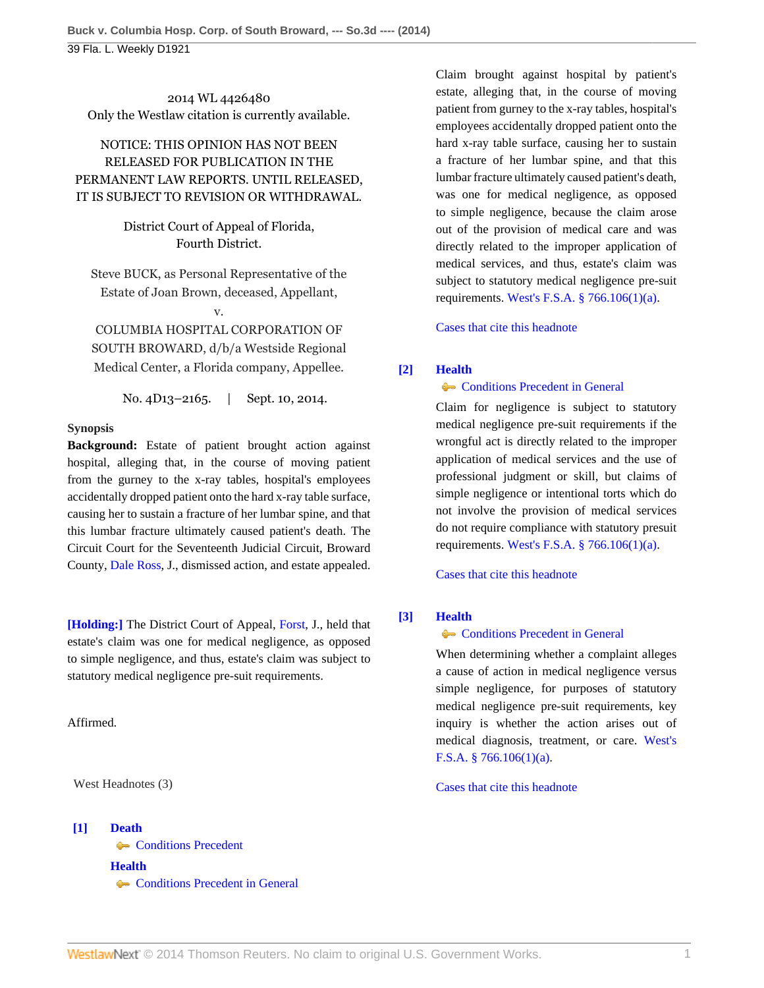2014 WL 4426480 Only the Westlaw citation is currently available.

# NOTICE: THIS OPINION HAS NOT BEEN RELEASED FOR PUBLICATION IN THE PERMANENT LAW REPORTS. UNTIL RELEASED, IT IS SUBJECT TO REVISION OR WITHDRAWAL.

# District Court of Appeal of Florida, Fourth District.

Steve BUCK, as Personal Representative of the Estate of Joan Brown, deceased, Appellant,

v.

COLUMBIA HOSPITAL CORPORATION OF SOUTH BROWARD, d/b/a Westside Regional Medical Center, a Florida company, Appellee.

No. 4D13–2165. | Sept. 10, 2014.

### **Synopsis**

**Background:** Estate of patient brought action against hospital, alleging that, in the course of moving patient from the gurney to the x-ray tables, hospital's employees accidentally dropped patient onto the hard x-ray table surface, causing her to sustain a fracture of her lumbar spine, and that this lumbar fracture ultimately caused patient's death. The Circuit Court for the Seventeenth Judicial Circuit, Broward County, [Dale Ross](http://www.westlaw.com/Link/Document/FullText?findType=h&pubNum=176284&cite=0245029801&originatingDoc=I47c79cfb38d911e49488c8f438320c70&refType=RQ&originationContext=document&vr=3.0&rs=cblt1.0&transitionType=DocumentItem&contextData=(sc.Default)), J., dismissed action, and estate appealed.

**[\[Holding:\]](#page-0-0)** The District Court of Appeal, [Forst,](http://www.westlaw.com/Link/Document/FullText?findType=h&pubNum=176284&cite=0472656401&originatingDoc=I47c79cfb38d911e49488c8f438320c70&refType=RQ&originationContext=document&vr=3.0&rs=cblt1.0&transitionType=DocumentItem&contextData=(sc.Default)) J., held that estate's claim was one for medical negligence, as opposed to simple negligence, and thus, estate's claim was subject to statutory medical negligence pre-suit requirements.

Affirmed.

West Headnotes (3)

<span id="page-0-0"></span>**[\[1\]](#page-1-0) [Death](http://www.westlaw.com/Browse/Home/KeyNumber/117/View.html?docGuid=I47c79cfb38d911e49488c8f438320c70&originationContext=document&vr=3.0&rs=cblt1.0&transitionType=DocumentItem&contextData=(sc.Default)) [Conditions Precedent](http://www.westlaw.com/Browse/Home/KeyNumber/117k19/View.html?docGuid=I47c79cfb38d911e49488c8f438320c70&originationContext=document&vr=3.0&rs=cblt1.0&transitionType=DocumentItem&contextData=(sc.Default)) [Health](http://www.westlaw.com/Browse/Home/KeyNumber/198H/View.html?docGuid=I47c79cfb38d911e49488c8f438320c70&originationContext=document&vr=3.0&rs=cblt1.0&transitionType=DocumentItem&contextData=(sc.Default))** [Conditions Precedent in General](http://www.westlaw.com/Browse/Home/KeyNumber/198Hk803/View.html?docGuid=I47c79cfb38d911e49488c8f438320c70&originationContext=document&vr=3.0&rs=cblt1.0&transitionType=DocumentItem&contextData=(sc.Default)) Claim brought against hospital by patient's estate, alleging that, in the course of moving patient from gurney to the x-ray tables, hospital's employees accidentally dropped patient onto the hard x-ray table surface, causing her to sustain a fracture of her lumbar spine, and that this lumbar fracture ultimately caused patient's death, was one for medical negligence, as opposed to simple negligence, because the claim arose out of the provision of medical care and was directly related to the improper application of medical services, and thus, estate's claim was subject to statutory medical negligence pre-suit requirements. [West's F.S.A. § 766.106\(1\)\(a\).](http://www.westlaw.com/Link/Document/FullText?findType=L&pubNum=1000006&cite=FLSTS766.106&originatingDoc=I47c79cfb38d911e49488c8f438320c70&refType=LQ&originationContext=document&vr=3.0&rs=cblt1.0&transitionType=DocumentItem&contextData=(sc.Default))

[Cases that cite this headnote](http://www.westlaw.com/Link/RelatedInformation/DocHeadnoteLink?docGuid=I47c79cfb38d911e49488c8f438320c70&headnoteId=203431185100120140925&originationContext=document&vr=3.0&rs=cblt1.0&transitionType=CitingReferences&contextData=(sc.Default))

# <span id="page-0-1"></span>**[\[2\]](#page-1-1) [Health](http://www.westlaw.com/Browse/Home/KeyNumber/198H/View.html?docGuid=I47c79cfb38d911e49488c8f438320c70&originationContext=document&vr=3.0&rs=cblt1.0&transitionType=DocumentItem&contextData=(sc.Default))**

### **[Conditions Precedent in General](http://www.westlaw.com/Browse/Home/KeyNumber/198Hk803/View.html?docGuid=I47c79cfb38d911e49488c8f438320c70&originationContext=document&vr=3.0&rs=cblt1.0&transitionType=DocumentItem&contextData=(sc.Default))**

Claim for negligence is subject to statutory medical negligence pre-suit requirements if the wrongful act is directly related to the improper application of medical services and the use of professional judgment or skill, but claims of simple negligence or intentional torts which do not involve the provision of medical services do not require compliance with statutory presuit requirements. [West's F.S.A. § 766.106\(1\)\(a\).](http://www.westlaw.com/Link/Document/FullText?findType=L&pubNum=1000006&cite=FLSTS766.106&originatingDoc=I47c79cfb38d911e49488c8f438320c70&refType=LQ&originationContext=document&vr=3.0&rs=cblt1.0&transitionType=DocumentItem&contextData=(sc.Default))

[Cases that cite this headnote](http://www.westlaw.com/Link/RelatedInformation/DocHeadnoteLink?docGuid=I47c79cfb38d911e49488c8f438320c70&headnoteId=203431185100220140925&originationContext=document&vr=3.0&rs=cblt1.0&transitionType=CitingReferences&contextData=(sc.Default))

# <span id="page-0-2"></span>**[\[3\]](#page-1-2) [Health](http://www.westlaw.com/Browse/Home/KeyNumber/198H/View.html?docGuid=I47c79cfb38d911e49488c8f438320c70&originationContext=document&vr=3.0&rs=cblt1.0&transitionType=DocumentItem&contextData=(sc.Default))**

#### [Conditions Precedent in General](http://www.westlaw.com/Browse/Home/KeyNumber/198Hk803/View.html?docGuid=I47c79cfb38d911e49488c8f438320c70&originationContext=document&vr=3.0&rs=cblt1.0&transitionType=DocumentItem&contextData=(sc.Default))

When determining whether a complaint alleges a cause of action in medical negligence versus simple negligence, for purposes of statutory medical negligence pre-suit requirements, key inquiry is whether the action arises out of medical diagnosis, treatment, or care. [West's](http://www.westlaw.com/Link/Document/FullText?findType=L&pubNum=1000006&cite=FLSTS766.106&originatingDoc=I47c79cfb38d911e49488c8f438320c70&refType=LQ&originationContext=document&vr=3.0&rs=cblt1.0&transitionType=DocumentItem&contextData=(sc.Default)) [F.S.A. § 766.106\(1\)\(a\).](http://www.westlaw.com/Link/Document/FullText?findType=L&pubNum=1000006&cite=FLSTS766.106&originatingDoc=I47c79cfb38d911e49488c8f438320c70&refType=LQ&originationContext=document&vr=3.0&rs=cblt1.0&transitionType=DocumentItem&contextData=(sc.Default))

[Cases that cite this headnote](http://www.westlaw.com/Link/RelatedInformation/DocHeadnoteLink?docGuid=I47c79cfb38d911e49488c8f438320c70&headnoteId=203431185100320140925&originationContext=document&vr=3.0&rs=cblt1.0&transitionType=CitingReferences&contextData=(sc.Default))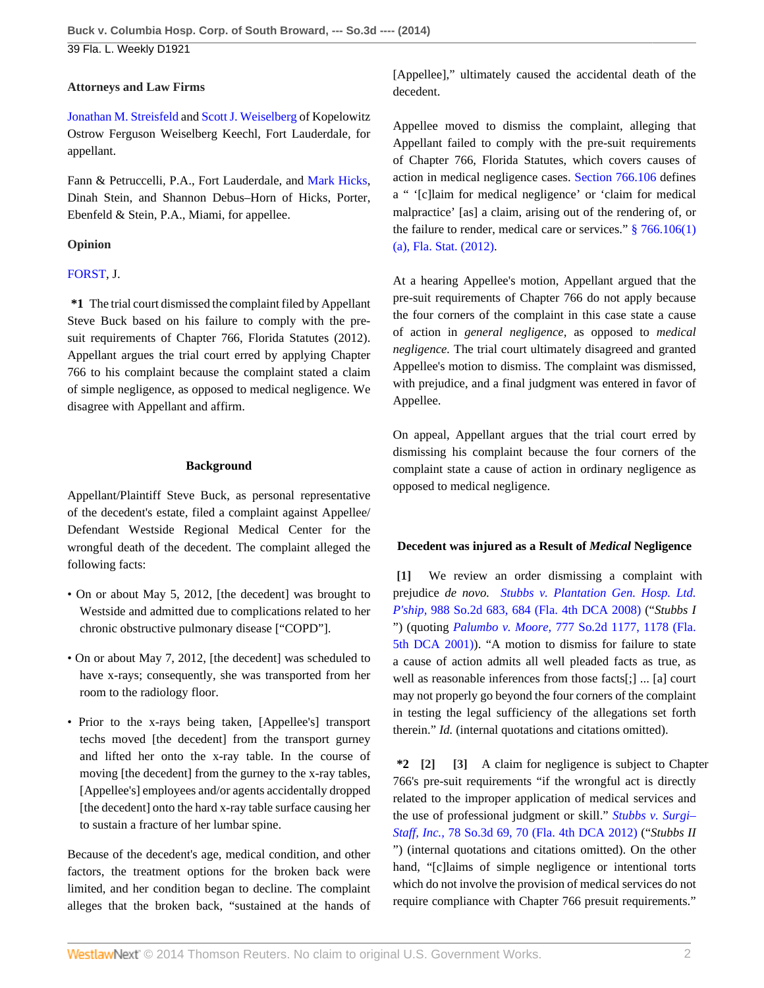#### **Attorneys and Law Firms**

[Jonathan M. Streisfeld](http://www.westlaw.com/Link/Document/FullText?findType=h&pubNum=176284&cite=0115829801&originatingDoc=I47c79cfb38d911e49488c8f438320c70&refType=RQ&originationContext=document&vr=3.0&rs=cblt1.0&transitionType=DocumentItem&contextData=(sc.Default)) and [Scott J. Weiselberg](http://www.westlaw.com/Link/Document/FullText?findType=h&pubNum=176284&cite=0364652701&originatingDoc=I47c79cfb38d911e49488c8f438320c70&refType=RQ&originationContext=document&vr=3.0&rs=cblt1.0&transitionType=DocumentItem&contextData=(sc.Default)) of Kopelowitz Ostrow Ferguson Weiselberg Keechl, Fort Lauderdale, for appellant.

Fann & Petruccelli, P.A., Fort Lauderdale, and [Mark Hicks](http://www.westlaw.com/Link/Document/FullText?findType=h&pubNum=176284&cite=0201636701&originatingDoc=I47c79cfb38d911e49488c8f438320c70&refType=RQ&originationContext=document&vr=3.0&rs=cblt1.0&transitionType=DocumentItem&contextData=(sc.Default)), Dinah Stein, and Shannon Debus–Horn of Hicks, Porter, Ebenfeld & Stein, P.A., Miami, for appellee.

### **Opinion**

## [FORST](http://www.westlaw.com/Link/Document/FullText?findType=h&pubNum=176284&cite=0472656401&originatingDoc=I47c79cfb38d911e49488c8f438320c70&refType=RQ&originationContext=document&vr=3.0&rs=cblt1.0&transitionType=DocumentItem&contextData=(sc.Default)), J.

**\*1** The trial court dismissed the complaint filed by Appellant Steve Buck based on his failure to comply with the presuit requirements of Chapter 766, Florida Statutes (2012). Appellant argues the trial court erred by applying Chapter 766 to his complaint because the complaint stated a claim of simple negligence, as opposed to medical negligence. We disagree with Appellant and affirm.

### **Background**

Appellant/Plaintiff Steve Buck, as personal representative of the decedent's estate, filed a complaint against Appellee/ Defendant Westside Regional Medical Center for the wrongful death of the decedent. The complaint alleged the following facts:

- On or about May 5, 2012, [the decedent] was brought to Westside and admitted due to complications related to her chronic obstructive pulmonary disease ["COPD"].
- On or about May 7, 2012, [the decedent] was scheduled to have x-rays; consequently, she was transported from her room to the radiology floor.
- Prior to the x-rays being taken, [Appellee's] transport techs moved [the decedent] from the transport gurney and lifted her onto the x-ray table. In the course of moving [the decedent] from the gurney to the x-ray tables, [Appellee's] employees and/or agents accidentally dropped [the decedent] onto the hard x-ray table surface causing her to sustain a fracture of her lumbar spine.

Because of the decedent's age, medical condition, and other factors, the treatment options for the broken back were limited, and her condition began to decline. The complaint alleges that the broken back, "sustained at the hands of [Appellee]," ultimately caused the accidental death of the decedent.

Appellee moved to dismiss the complaint, alleging that Appellant failed to comply with the pre-suit requirements of Chapter 766, Florida Statutes, which covers causes of action in medical negligence cases. [Section 766.106](http://www.westlaw.com/Link/Document/FullText?findType=L&pubNum=1000006&cite=FLSTS766.106&originatingDoc=I47c79cfb38d911e49488c8f438320c70&refType=LQ&originationContext=document&vr=3.0&rs=cblt1.0&transitionType=DocumentItem&contextData=(sc.Default)) defines a " '[c]laim for medical negligence' or 'claim for medical malpractice' [as] a claim, arising out of the rendering of, or the failure to render, medical care or services."  $§ 766.106(1)$ [\(a\), Fla. Stat. \(2012\)](http://www.westlaw.com/Link/Document/FullText?findType=L&pubNum=1000006&cite=FLSTS766.106&originatingDoc=I47c79cfb38d911e49488c8f438320c70&refType=LQ&originationContext=document&vr=3.0&rs=cblt1.0&transitionType=DocumentItem&contextData=(sc.Default)).

At a hearing Appellee's motion, Appellant argued that the pre-suit requirements of Chapter 766 do not apply because the four corners of the complaint in this case state a cause of action in *general negligence,* as opposed to *medical negligence.* The trial court ultimately disagreed and granted Appellee's motion to dismiss. The complaint was dismissed, with prejudice, and a final judgment was entered in favor of Appellee.

On appeal, Appellant argues that the trial court erred by dismissing his complaint because the four corners of the complaint state a cause of action in ordinary negligence as opposed to medical negligence.

## **Decedent was injured as a Result of** *Medical* **Negligence**

<span id="page-1-0"></span>**[\[1\]](#page-0-0)** We review an order dismissing a complaint with prejudice *de novo. [Stubbs v. Plantation Gen. Hosp. Ltd.](http://www.westlaw.com/Link/Document/FullText?findType=Y&serNum=2016640699&pubNum=0000735&fi=co_pp_sp_735_684&originationContext=document&vr=3.0&rs=cblt1.0&transitionType=DocumentItem&contextData=(sc.Default)#co_pp_sp_735_684) P'ship,* [988 So.2d 683, 684 \(Fla. 4th DCA 2008\)](http://www.westlaw.com/Link/Document/FullText?findType=Y&serNum=2016640699&pubNum=0000735&fi=co_pp_sp_735_684&originationContext=document&vr=3.0&rs=cblt1.0&transitionType=DocumentItem&contextData=(sc.Default)#co_pp_sp_735_684) ("*Stubbs I* ") (quoting *Palumbo v. Moore,* [777 So.2d 1177, 1178 \(Fla.](http://www.westlaw.com/Link/Document/FullText?findType=Y&serNum=2001145316&pubNum=0000735&fi=co_pp_sp_735_1178&originationContext=document&vr=3.0&rs=cblt1.0&transitionType=DocumentItem&contextData=(sc.Default)#co_pp_sp_735_1178) [5th DCA 2001\)\)](http://www.westlaw.com/Link/Document/FullText?findType=Y&serNum=2001145316&pubNum=0000735&fi=co_pp_sp_735_1178&originationContext=document&vr=3.0&rs=cblt1.0&transitionType=DocumentItem&contextData=(sc.Default)#co_pp_sp_735_1178). "A motion to dismiss for failure to state a cause of action admits all well pleaded facts as true, as well as reasonable inferences from those facts[;] ... [a] court may not properly go beyond the four corners of the complaint in testing the legal sufficiency of the allegations set forth therein." *Id.* (internal quotations and citations omitted).

<span id="page-1-2"></span><span id="page-1-1"></span>**\*2 [\[2\]](#page-0-1) [\[3\]](#page-0-2)** A claim for negligence is subject to Chapter 766's pre-suit requirements "if the wrongful act is directly related to the improper application of medical services and the use of professional judgment or skill." *[Stubbs v. Surgi–](http://www.westlaw.com/Link/Document/FullText?findType=Y&serNum=2026878106&pubNum=0003926&fi=co_pp_sp_3926_70&originationContext=document&vr=3.0&rs=cblt1.0&transitionType=DocumentItem&contextData=(sc.Default)#co_pp_sp_3926_70) Staff, Inc.,* [78 So.3d 69, 70 \(Fla. 4th DCA 2012\)](http://www.westlaw.com/Link/Document/FullText?findType=Y&serNum=2026878106&pubNum=0003926&fi=co_pp_sp_3926_70&originationContext=document&vr=3.0&rs=cblt1.0&transitionType=DocumentItem&contextData=(sc.Default)#co_pp_sp_3926_70) ("*Stubbs II* ") (internal quotations and citations omitted). On the other hand, "[c]laims of simple negligence or intentional torts which do not involve the provision of medical services do not require compliance with Chapter 766 presuit requirements."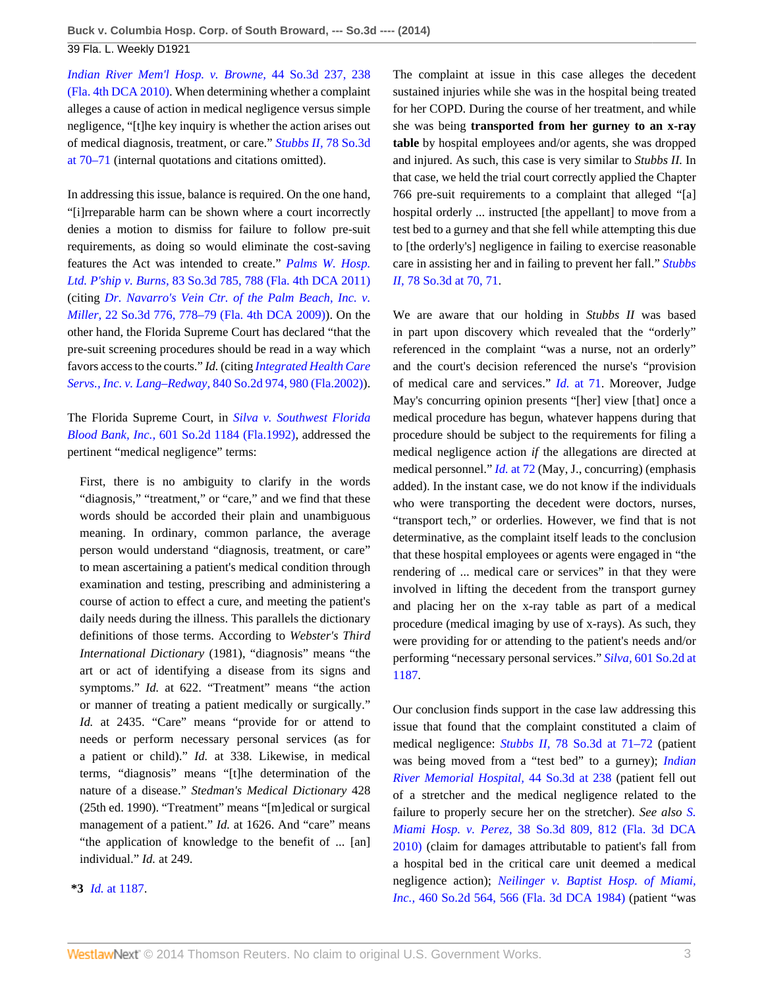*[Indian River Mem'l Hosp. v. Browne,](http://www.westlaw.com/Link/Document/FullText?findType=Y&serNum=2023170024&pubNum=0003926&fi=co_pp_sp_3926_238&originationContext=document&vr=3.0&rs=cblt1.0&transitionType=DocumentItem&contextData=(sc.Default)#co_pp_sp_3926_238)* 44 So.3d 237, 238 [\(Fla. 4th DCA 2010\).](http://www.westlaw.com/Link/Document/FullText?findType=Y&serNum=2023170024&pubNum=0003926&fi=co_pp_sp_3926_238&originationContext=document&vr=3.0&rs=cblt1.0&transitionType=DocumentItem&contextData=(sc.Default)#co_pp_sp_3926_238) When determining whether a complaint alleges a cause of action in medical negligence versus simple negligence, "[t]he key inquiry is whether the action arises out of medical diagnosis, treatment, or care." *[Stubbs II,](http://www.westlaw.com/Link/Document/FullText?findType=Y&serNum=2026878106&pubNum=0003926&fi=co_pp_sp_3926_70&originationContext=document&vr=3.0&rs=cblt1.0&transitionType=DocumentItem&contextData=(sc.Default)#co_pp_sp_3926_70)* 78 So.3d [at 70–71](http://www.westlaw.com/Link/Document/FullText?findType=Y&serNum=2026878106&pubNum=0003926&fi=co_pp_sp_3926_70&originationContext=document&vr=3.0&rs=cblt1.0&transitionType=DocumentItem&contextData=(sc.Default)#co_pp_sp_3926_70) (internal quotations and citations omitted).

In addressing this issue, balance is required. On the one hand, "[i]rreparable harm can be shown where a court incorrectly denies a motion to dismiss for failure to follow pre-suit requirements, as doing so would eliminate the cost-saving features the Act was intended to create." *[Palms W. Hosp.](http://www.westlaw.com/Link/Document/FullText?findType=Y&serNum=2026591313&pubNum=0003926&fi=co_pp_sp_3926_788&originationContext=document&vr=3.0&rs=cblt1.0&transitionType=DocumentItem&contextData=(sc.Default)#co_pp_sp_3926_788) Ltd. P'ship v. Burns,* [83 So.3d 785, 788 \(Fla. 4th DCA 2011\)](http://www.westlaw.com/Link/Document/FullText?findType=Y&serNum=2026591313&pubNum=0003926&fi=co_pp_sp_3926_788&originationContext=document&vr=3.0&rs=cblt1.0&transitionType=DocumentItem&contextData=(sc.Default)#co_pp_sp_3926_788) (citing *[Dr. Navarro's Vein Ctr. of the Palm Beach, Inc. v.](http://www.westlaw.com/Link/Document/FullText?findType=Y&serNum=2020435305&pubNum=0003926&fi=co_pp_sp_3926_778&originationContext=document&vr=3.0&rs=cblt1.0&transitionType=DocumentItem&contextData=(sc.Default)#co_pp_sp_3926_778) Miller,* [22 So.3d 776, 778–79 \(Fla. 4th DCA 2009\)\)](http://www.westlaw.com/Link/Document/FullText?findType=Y&serNum=2020435305&pubNum=0003926&fi=co_pp_sp_3926_778&originationContext=document&vr=3.0&rs=cblt1.0&transitionType=DocumentItem&contextData=(sc.Default)#co_pp_sp_3926_778). On the other hand, the Florida Supreme Court has declared "that the pre-suit screening procedures should be read in a way which favors access to the courts." *Id.* (citing *[Integrated Health Care](http://www.westlaw.com/Link/Document/FullText?findType=Y&serNum=2002771938&pubNum=0000735&fi=co_pp_sp_735_980&originationContext=document&vr=3.0&rs=cblt1.0&transitionType=DocumentItem&contextData=(sc.Default)#co_pp_sp_735_980) Servs., Inc. v. Lang–Redway,* [840 So.2d 974, 980 \(Fla.2002\)](http://www.westlaw.com/Link/Document/FullText?findType=Y&serNum=2002771938&pubNum=0000735&fi=co_pp_sp_735_980&originationContext=document&vr=3.0&rs=cblt1.0&transitionType=DocumentItem&contextData=(sc.Default)#co_pp_sp_735_980)).

The Florida Supreme Court, in *[Silva v. Southwest Florida](http://www.westlaw.com/Link/Document/FullText?findType=Y&serNum=1992097609&pubNum=0000735&originationContext=document&vr=3.0&rs=cblt1.0&transitionType=DocumentItem&contextData=(sc.Default)) Blood Bank, Inc.,* [601 So.2d 1184 \(Fla.1992\),](http://www.westlaw.com/Link/Document/FullText?findType=Y&serNum=1992097609&pubNum=0000735&originationContext=document&vr=3.0&rs=cblt1.0&transitionType=DocumentItem&contextData=(sc.Default)) addressed the pertinent "medical negligence" terms:

First, there is no ambiguity to clarify in the words "diagnosis," "treatment," or "care," and we find that these words should be accorded their plain and unambiguous meaning. In ordinary, common parlance, the average person would understand "diagnosis, treatment, or care" to mean ascertaining a patient's medical condition through examination and testing, prescribing and administering a course of action to effect a cure, and meeting the patient's daily needs during the illness. This parallels the dictionary definitions of those terms. According to *Webster's Third International Dictionary* (1981), "diagnosis" means "the art or act of identifying a disease from its signs and symptoms." *Id.* at 622. "Treatment" means "the action or manner of treating a patient medically or surgically." *Id.* at 2435. "Care" means "provide for or attend to needs or perform necessary personal services (as for a patient or child)." *Id.* at 338. Likewise, in medical terms, "diagnosis" means "[t]he determination of the nature of a disease." *Stedman's Medical Dictionary* 428 (25th ed. 1990). "Treatment" means "[m]edical or surgical management of a patient." *Id.* at 1626. And "care" means "the application of knowledge to the benefit of ... [an] individual." *Id.* at 249.

**\*3** *Id.* [at 1187.](http://www.westlaw.com/Link/Document/FullText?findType=Y&serNum=1992097609&pubNum=0000735&fi=co_pp_sp_735_1187&originationContext=document&vr=3.0&rs=cblt1.0&transitionType=DocumentItem&contextData=(sc.Default)#co_pp_sp_735_1187)

The complaint at issue in this case alleges the decedent sustained injuries while she was in the hospital being treated for her COPD. During the course of her treatment, and while she was being **transported from her gurney to an x-ray table** by hospital employees and/or agents, she was dropped and injured. As such, this case is very similar to *Stubbs II.* In that case, we held the trial court correctly applied the Chapter 766 pre-suit requirements to a complaint that alleged "[a] hospital orderly ... instructed [the appellant] to move from a test bed to a gurney and that she fell while attempting this due to [the orderly's] negligence in failing to exercise reasonable care in assisting her and in failing to prevent her fall." *[Stubbs](http://www.westlaw.com/Link/Document/FullText?findType=Y&serNum=2026878106&pubNum=0003926&fi=co_pp_sp_3926_70&originationContext=document&vr=3.0&rs=cblt1.0&transitionType=DocumentItem&contextData=(sc.Default)#co_pp_sp_3926_70) II,* [78 So.3d at 70, 71](http://www.westlaw.com/Link/Document/FullText?findType=Y&serNum=2026878106&pubNum=0003926&fi=co_pp_sp_3926_70&originationContext=document&vr=3.0&rs=cblt1.0&transitionType=DocumentItem&contextData=(sc.Default)#co_pp_sp_3926_70).

We are aware that our holding in *Stubbs II* was based in part upon discovery which revealed that the "orderly" referenced in the complaint "was a nurse, not an orderly" and the court's decision referenced the nurse's "provision of medical care and services." *Id.* [at 71](http://www.westlaw.com/Link/Document/FullText?findType=Y&serNum=2026878106&pubNum=0003926&fi=co_pp_sp_3926_71&originationContext=document&vr=3.0&rs=cblt1.0&transitionType=DocumentItem&contextData=(sc.Default)#co_pp_sp_3926_71). Moreover, Judge May's concurring opinion presents "[her] view [that] once a medical procedure has begun, whatever happens during that procedure should be subject to the requirements for filing a medical negligence action *if* the allegations are directed at medical personnel." *Id.* [at 72](http://www.westlaw.com/Link/Document/FullText?findType=Y&serNum=2026878106&pubNum=0003926&fi=co_pp_sp_3926_72&originationContext=document&vr=3.0&rs=cblt1.0&transitionType=DocumentItem&contextData=(sc.Default)#co_pp_sp_3926_72) (May, J., concurring) (emphasis added). In the instant case, we do not know if the individuals who were transporting the decedent were doctors, nurses, "transport tech," or orderlies. However, we find that is not determinative, as the complaint itself leads to the conclusion that these hospital employees or agents were engaged in "the rendering of ... medical care or services" in that they were involved in lifting the decedent from the transport gurney and placing her on the x-ray table as part of a medical procedure (medical imaging by use of x-rays). As such, they were providing for or attending to the patient's needs and/or performing "necessary personal services." *Silva,* [601 So.2d at](http://www.westlaw.com/Link/Document/FullText?findType=Y&serNum=1992097609&pubNum=0000735&fi=co_pp_sp_735_1187&originationContext=document&vr=3.0&rs=cblt1.0&transitionType=DocumentItem&contextData=(sc.Default)#co_pp_sp_735_1187) [1187](http://www.westlaw.com/Link/Document/FullText?findType=Y&serNum=1992097609&pubNum=0000735&fi=co_pp_sp_735_1187&originationContext=document&vr=3.0&rs=cblt1.0&transitionType=DocumentItem&contextData=(sc.Default)#co_pp_sp_735_1187).

Our conclusion finds support in the case law addressing this issue that found that the complaint constituted a claim of medical negligence: *Stubbs II,* [78 So.3d at 71–72](http://www.westlaw.com/Link/Document/FullText?findType=Y&serNum=2026878106&pubNum=0003926&fi=co_pp_sp_3926_71&originationContext=document&vr=3.0&rs=cblt1.0&transitionType=DocumentItem&contextData=(sc.Default)#co_pp_sp_3926_71) (patient was being moved from a "test bed" to a gurney); *[Indian](http://www.westlaw.com/Link/Document/FullText?findType=Y&serNum=2023170024&pubNum=0003926&fi=co_pp_sp_3926_238&originationContext=document&vr=3.0&rs=cblt1.0&transitionType=DocumentItem&contextData=(sc.Default)#co_pp_sp_3926_238) [River Memorial Hospital,](http://www.westlaw.com/Link/Document/FullText?findType=Y&serNum=2023170024&pubNum=0003926&fi=co_pp_sp_3926_238&originationContext=document&vr=3.0&rs=cblt1.0&transitionType=DocumentItem&contextData=(sc.Default)#co_pp_sp_3926_238)* 44 So.3d at 238 (patient fell out of a stretcher and the medical negligence related to the failure to properly secure her on the stretcher). *See also [S.](http://www.westlaw.com/Link/Document/FullText?findType=Y&serNum=2022312708&pubNum=0003926&fi=co_pp_sp_3926_812&originationContext=document&vr=3.0&rs=cblt1.0&transitionType=DocumentItem&contextData=(sc.Default)#co_pp_sp_3926_812) Miami Hosp. v. Perez,* [38 So.3d 809, 812 \(Fla. 3d DCA](http://www.westlaw.com/Link/Document/FullText?findType=Y&serNum=2022312708&pubNum=0003926&fi=co_pp_sp_3926_812&originationContext=document&vr=3.0&rs=cblt1.0&transitionType=DocumentItem&contextData=(sc.Default)#co_pp_sp_3926_812) [2010\)](http://www.westlaw.com/Link/Document/FullText?findType=Y&serNum=2022312708&pubNum=0003926&fi=co_pp_sp_3926_812&originationContext=document&vr=3.0&rs=cblt1.0&transitionType=DocumentItem&contextData=(sc.Default)#co_pp_sp_3926_812) (claim for damages attributable to patient's fall from a hospital bed in the critical care unit deemed a medical negligence action); *[Neilinger v. Baptist Hosp. of Miami,](http://www.westlaw.com/Link/Document/FullText?findType=Y&serNum=1984160829&pubNum=0000735&fi=co_pp_sp_735_566&originationContext=document&vr=3.0&rs=cblt1.0&transitionType=DocumentItem&contextData=(sc.Default)#co_pp_sp_735_566) Inc.,* [460 So.2d 564, 566 \(Fla. 3d DCA 1984\)](http://www.westlaw.com/Link/Document/FullText?findType=Y&serNum=1984160829&pubNum=0000735&fi=co_pp_sp_735_566&originationContext=document&vr=3.0&rs=cblt1.0&transitionType=DocumentItem&contextData=(sc.Default)#co_pp_sp_735_566) (patient "was